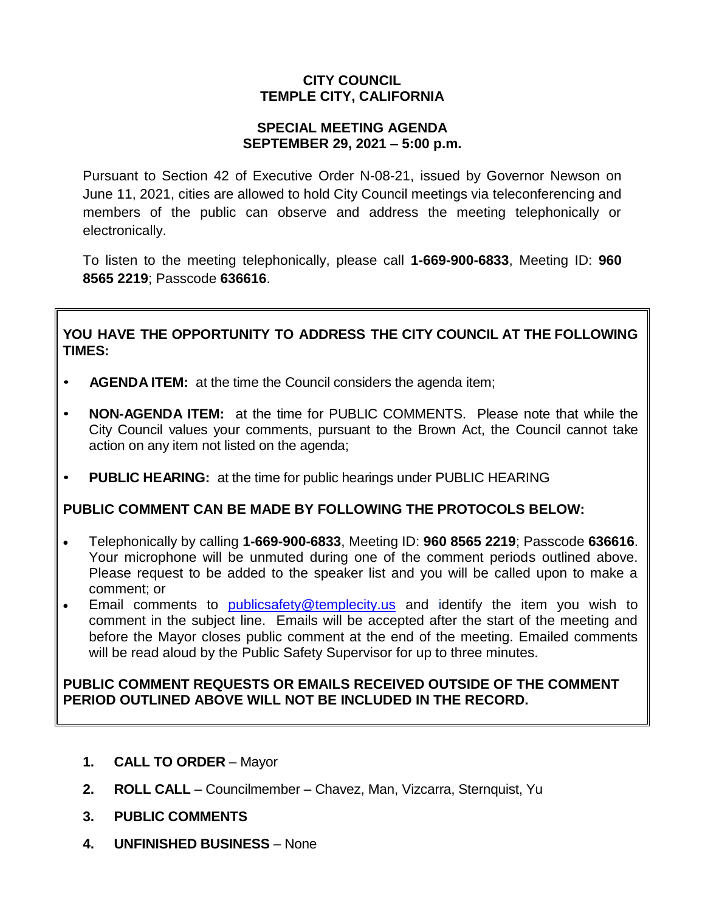# **CITY COUNCIL TEMPLE CITY, CALIFORNIA**

## **SPECIAL MEETING AGENDA SEPTEMBER 29, 2021 – 5:00 p.m.**

Pursuant to Section 42 of Executive Order N-08-21, issued by Governor Newson on June 11, 2021, cities are allowed to hold City Council meetings via teleconferencing and members of the public can observe and address the meeting telephonically or electronically.

To listen to the meeting telephonically, please call **1-669-900-6833**, Meeting ID: **960 8565 2219**; Passcode **636616**.

## **YOU HAVE THE OPPORTUNITY TO ADDRESS THE CITY COUNCIL AT THE FOLLOWING TIMES:**

- **AGENDA ITEM:** at the time the Council considers the agenda item;
- **NON-AGENDA ITEM:** at the time for PUBLIC COMMENTS. Please note that while the City Council values your comments, pursuant to the Brown Act, the Council cannot take action on any item not listed on the agenda;
- **PUBLIC HEARING:** at the time for public hearings under PUBLIC HEARING

# **PUBLIC COMMENT CAN BE MADE BY FOLLOWING THE PROTOCOLS BELOW:**

- Telephonically by calling **1-669-900-6833**, Meeting ID: **960 8565 2219**; Passcode **636616**. Your microphone will be unmuted during one of the comment periods outlined above. Please request to be added to the speaker list and you will be called upon to make a comment; or
- Email comments to [publicsafety@templecity.us](mailto:publicsafety@templecity.us) and identify the item you wish to comment in the subject line. Emails will be accepted after the start of the meeting and before the Mayor closes public comment at the end of the meeting. Emailed comments will be read aloud by the Public Safety Supervisor for up to three minutes.

## **PUBLIC COMMENT REQUESTS OR EMAILS RECEIVED OUTSIDE OF THE COMMENT PERIOD OUTLINED ABOVE WILL NOT BE INCLUDED IN THE RECORD.**

- **1. CALL TO ORDER** Mayor
- **2. ROLL CALL** Councilmember Chavez, Man, Vizcarra, Sternquist, Yu
- **3. PUBLIC COMMENTS**
- **4. UNFINISHED BUSINESS** None